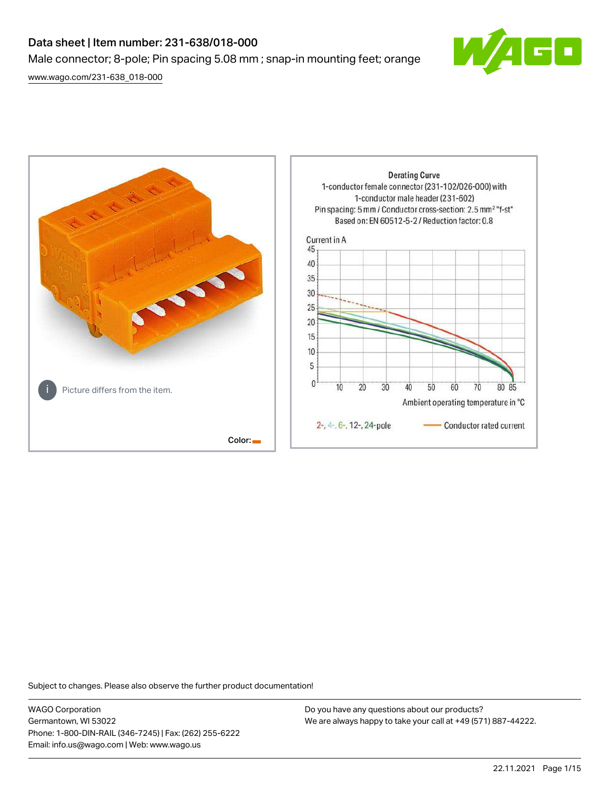# Data sheet | Item number: 231-638/018-000 Male connector; 8-pole; Pin spacing 5.08 mm ; snap-in mounting feet; orange

[www.wago.com/231-638\\_018-000](http://www.wago.com/231-638_018-000)



**Derating Curve** 1-conductor female connector (231-102/026-000) with 1-conductor male header (231-602) Pin spacing: 5 mm / Conductor cross-section: 2.5 mm<sup>2</sup> "f-st" Based on: EN 60512-5-2 / Reduction factor: 0.8 Current in A 45 40 35 30 25 20 15 10 5  $\bf{0}$  $10$ 20 30 40 50 60 70 80 85 Picture differs from the item. Ambient operating temperature in °C 2-, 4-, 6-, 12-, 24-pole Conductor rated current Color:

Subject to changes. Please also observe the further product documentation!

WAGO Corporation Germantown, WI 53022 Phone: 1-800-DIN-RAIL (346-7245) | Fax: (262) 255-6222 Email: info.us@wago.com | Web: www.wago.us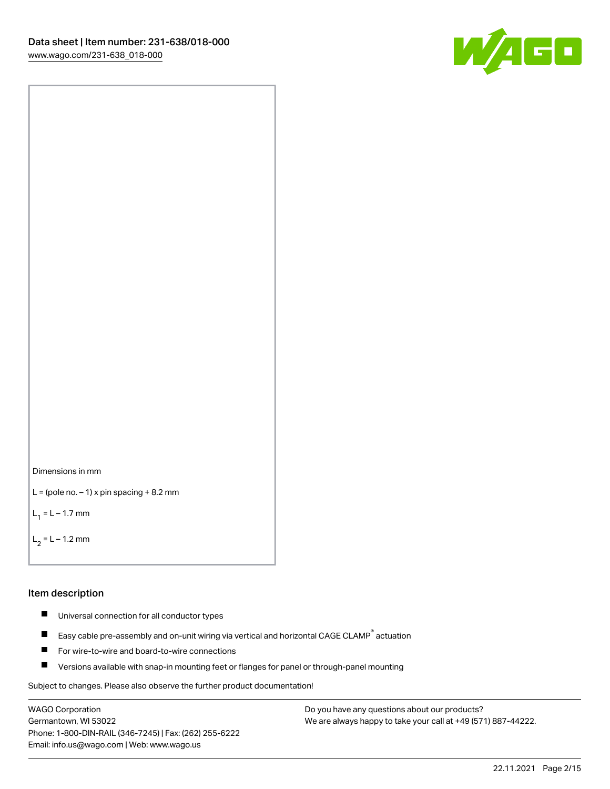



```
L = (pole no. -1) x pin spacing +8.2 mm
```
 $L_1 = L - 1.7$  mm

```
L_2 = L - 1.2 mm
```
#### Item description

- $\blacksquare$ Universal connection for all conductor types
- Easy cable pre-assembly and on-unit wiring via vertical and horizontal CAGE CLAMP<sup>®</sup> actuation  $\blacksquare$
- $\blacksquare$ For wire-to-wire and board-to-wire connections
- $\blacksquare$ Versions available with snap-in mounting feet or flanges for panel or through-panel mounting

Subject to changes. Please also observe the further product documentation!

WAGO Corporation Germantown, WI 53022 Phone: 1-800-DIN-RAIL (346-7245) | Fax: (262) 255-6222 Email: info.us@wago.com | Web: www.wago.us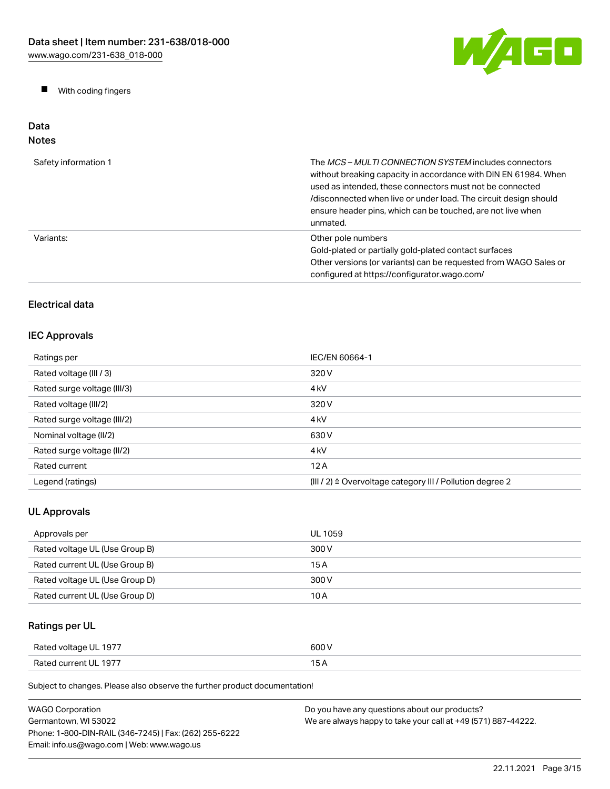W/AGO

 $\blacksquare$ With coding fingers

#### Data Notes

| Safety information 1 | The <i>MCS – MULTI CONNECTION SYSTEM</i> includes connectors<br>without breaking capacity in accordance with DIN EN 61984. When<br>used as intended, these connectors must not be connected<br>/disconnected when live or under load. The circuit design should<br>ensure header pins, which can be touched, are not live when<br>unmated. |
|----------------------|--------------------------------------------------------------------------------------------------------------------------------------------------------------------------------------------------------------------------------------------------------------------------------------------------------------------------------------------|
| Variants:            | Other pole numbers<br>Gold-plated or partially gold-plated contact surfaces<br>Other versions (or variants) can be requested from WAGO Sales or<br>configured at https://configurator.wago.com/                                                                                                                                            |

# Electrical data

# IEC Approvals

| Ratings per                 | IEC/EN 60664-1                                                       |
|-----------------------------|----------------------------------------------------------------------|
| Rated voltage (III / 3)     | 320 V                                                                |
| Rated surge voltage (III/3) | 4 <sub>kV</sub>                                                      |
| Rated voltage (III/2)       | 320 V                                                                |
| Rated surge voltage (III/2) | 4 <sub>k</sub> V                                                     |
| Nominal voltage (II/2)      | 630 V                                                                |
| Rated surge voltage (II/2)  | 4 <sub>k</sub> V                                                     |
| Rated current               | 12A                                                                  |
| Legend (ratings)            | (III / 2) $\triangleq$ Overvoltage category III / Pollution degree 2 |

# UL Approvals

| Approvals per                  | UL 1059 |
|--------------------------------|---------|
| Rated voltage UL (Use Group B) | 300 V   |
| Rated current UL (Use Group B) | 15 A    |
| Rated voltage UL (Use Group D) | 300 V   |
| Rated current UL (Use Group D) | 10 A    |

# Ratings per UL

| Rated voltage UL 1977 | 600 V |
|-----------------------|-------|
| Rated current UL 1977 | 15 A  |

| <b>WAGO Corporation</b>                                | Do you have any questions about our products?                 |
|--------------------------------------------------------|---------------------------------------------------------------|
| Germantown. WI 53022                                   | We are always happy to take your call at +49 (571) 887-44222. |
| Phone: 1-800-DIN-RAIL (346-7245)   Fax: (262) 255-6222 |                                                               |
| Email: info.us@wago.com   Web: www.wago.us             |                                                               |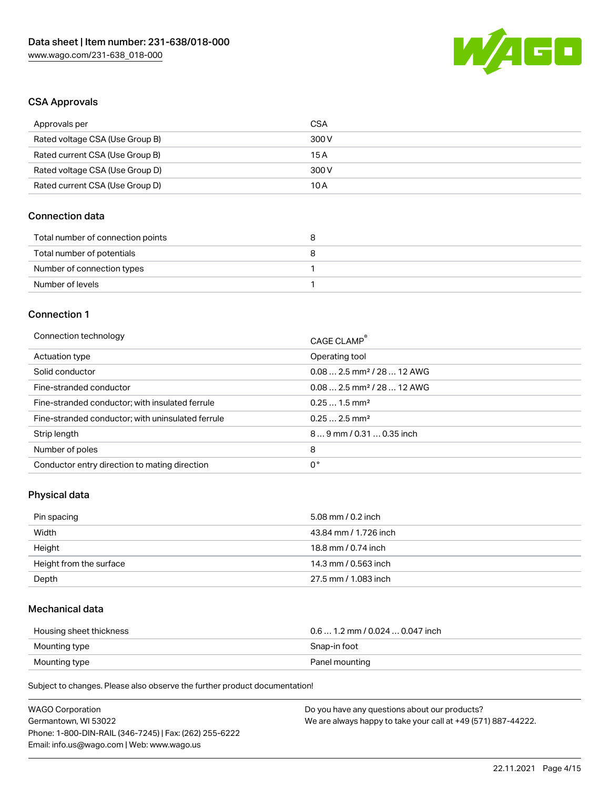

## CSA Approvals

| Approvals per                   | CSA   |
|---------------------------------|-------|
| Rated voltage CSA (Use Group B) | 300 V |
| Rated current CSA (Use Group B) | 15 A  |
| Rated voltage CSA (Use Group D) | 300 V |
| Rated current CSA (Use Group D) | 10 A  |

## Connection data

| Total number of connection points | o |
|-----------------------------------|---|
| Total number of potentials        |   |
| Number of connection types        |   |
| Number of levels                  |   |

#### Connection 1

| Connection technology                             | CAGE CLAMP®                            |
|---------------------------------------------------|----------------------------------------|
| Actuation type                                    | Operating tool                         |
| Solid conductor                                   | $0.082.5$ mm <sup>2</sup> / 28  12 AWG |
| Fine-stranded conductor                           | $0.082.5$ mm <sup>2</sup> / 28  12 AWG |
| Fine-stranded conductor; with insulated ferrule   | $0.251.5$ mm <sup>2</sup>              |
| Fine-stranded conductor; with uninsulated ferrule | $0.252.5$ mm <sup>2</sup>              |
| Strip length                                      | $89$ mm / 0.31  0.35 inch              |
| Number of poles                                   | 8                                      |
| Conductor entry direction to mating direction     | 0°                                     |

# Physical data

| Pin spacing             | 5.08 mm / 0.2 inch    |
|-------------------------|-----------------------|
| Width                   | 43.84 mm / 1.726 inch |
| Height                  | 18.8 mm / 0.74 inch   |
| Height from the surface | 14.3 mm / 0.563 inch  |
| Depth                   | 27.5 mm / 1.083 inch  |

# Mechanical data

| Housing sheet thickness | $0.6$ 1.2 mm / 0.024 $$ 0.047 inch |
|-------------------------|------------------------------------|
| Mounting type           | Snap-in foot                       |
| Mounting type           | Panel mounting                     |

| <b>WAGO Corporation</b>                                | Do you have any questions about our products?                 |
|--------------------------------------------------------|---------------------------------------------------------------|
| Germantown, WI 53022                                   | We are always happy to take your call at +49 (571) 887-44222. |
| Phone: 1-800-DIN-RAIL (346-7245)   Fax: (262) 255-6222 |                                                               |
| Email: info.us@wago.com   Web: www.wago.us             |                                                               |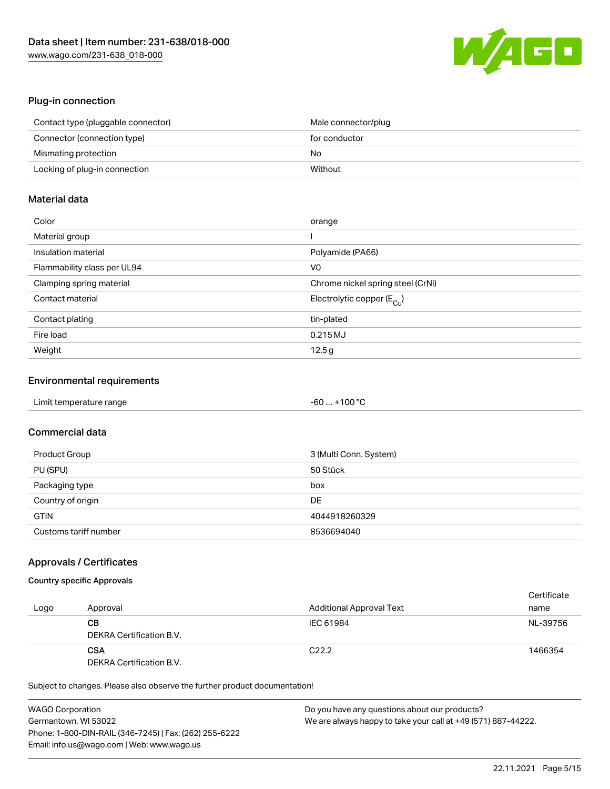

### Plug-in connection

| Contact type (pluggable connector) | Male connector/plug |
|------------------------------------|---------------------|
| Connector (connection type)        | for conductor       |
| Mismating protection               | No                  |
| Locking of plug-in connection      | Without             |

# Material data

| Color                       | orange                                  |
|-----------------------------|-----------------------------------------|
| Material group              |                                         |
| Insulation material         | Polyamide (PA66)                        |
| Flammability class per UL94 | V0                                      |
| Clamping spring material    | Chrome nickel spring steel (CrNi)       |
| Contact material            | Electrolytic copper ( $E_{\text{Cu}}$ ) |
| Contact plating             | tin-plated                              |
| Fire load                   | 0.215MJ                                 |
| Weight                      | 12.5g                                   |

#### Environmental requirements

| Limit temperature range | -60  +100 °C |  |
|-------------------------|--------------|--|
|-------------------------|--------------|--|

# Commercial data

| Product Group         | 3 (Multi Conn. System) |
|-----------------------|------------------------|
| PU (SPU)              | 50 Stück               |
| Packaging type        | box                    |
| Country of origin     | DE                     |
| <b>GTIN</b>           | 4044918260329          |
| Customs tariff number | 8536694040             |

#### Approvals / Certificates

## Country specific Approvals

| Logo | Approval                               | <b>Additional Approval Text</b> | Certificate<br>name |
|------|----------------------------------------|---------------------------------|---------------------|
|      | CВ<br>DEKRA Certification B.V.         | IEC 61984                       | NL-39756            |
|      | <b>CSA</b><br>DEKRA Certification B.V. | C <sub>22.2</sub>               | 1466354             |

| <b>WAGO Corporation</b>                                | Do you have any questions about our products?                 |
|--------------------------------------------------------|---------------------------------------------------------------|
| Germantown, WI 53022                                   | We are always happy to take your call at +49 (571) 887-44222. |
| Phone: 1-800-DIN-RAIL (346-7245)   Fax: (262) 255-6222 |                                                               |
| Email: info.us@wago.com   Web: www.wago.us             |                                                               |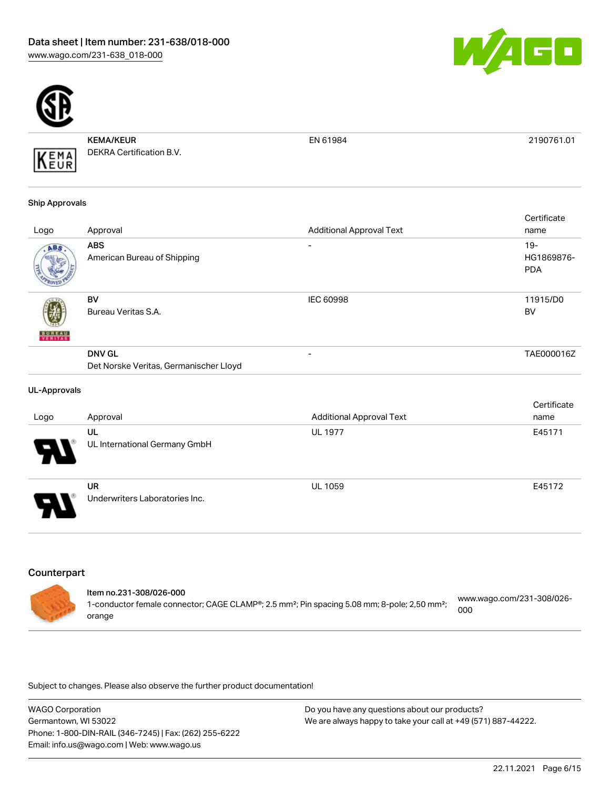



KEMA/KEUR DEKRA Certification B.V.

EN 61984 2190761.01

#### Ship Approvals

KEMA

|               |                                           |                                 | Certificate                       |
|---------------|-------------------------------------------|---------------------------------|-----------------------------------|
| Logo          | Approval                                  | <b>Additional Approval Text</b> | name                              |
| ABS.          | <b>ABS</b><br>American Bureau of Shipping | ۰                               | $19-$<br>HG1869876-<br><b>PDA</b> |
| <b>BUREAU</b> | <b>BV</b><br>Bureau Veritas S.A.          | <b>IEC 60998</b>                | 11915/D0<br><b>BV</b>             |
|               | <b>DNV GL</b>                             | ۰                               | TAE000016Z                        |
|               | Det Norske Veritas, Germanischer Lloyd    |                                 |                                   |

#### UL-Approvals

|                            |                                             |                                 | Certificate |
|----------------------------|---------------------------------------------|---------------------------------|-------------|
| Logo                       | Approval                                    | <b>Additional Approval Text</b> | name        |
|                            | UL                                          | <b>UL 1977</b>                  | E45171      |
| $\boldsymbol{\theta}$      | UL International Germany GmbH               |                                 |             |
| $\boldsymbol{\mathcal{P}}$ | <b>UR</b><br>Underwriters Laboratories Inc. | <b>UL 1059</b>                  | E45172      |
|                            |                                             |                                 |             |

# **Counterpart**

| 1-conductor female connector; CAGE CLAMP®; 2.5 mm²; Pin spacing 5.08 mm; 8-pole; 2,50 mm²;<br>000<br>orange | www.wago.com/231-308/026- |
|-------------------------------------------------------------------------------------------------------------|---------------------------|
|-------------------------------------------------------------------------------------------------------------|---------------------------|

| WAGO Corporation                                       | Do you have any questions about our products?                 |
|--------------------------------------------------------|---------------------------------------------------------------|
| Germantown, WI 53022                                   | We are always happy to take your call at +49 (571) 887-44222. |
| Phone: 1-800-DIN-RAIL (346-7245)   Fax: (262) 255-6222 |                                                               |
| Email: info.us@wago.com   Web: www.wago.us             |                                                               |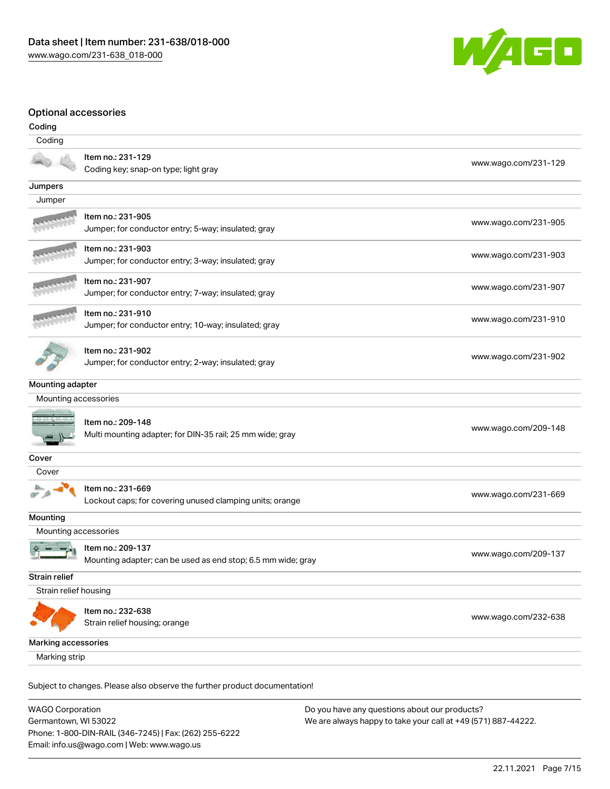

#### Optional accessories

| Coding                |                                                                                   |                      |
|-----------------------|-----------------------------------------------------------------------------------|----------------------|
| Coding                |                                                                                   |                      |
|                       | Item no.: 231-129<br>Coding key; snap-on type; light gray                         | www.wago.com/231-129 |
| Jumpers               |                                                                                   |                      |
| Jumper                |                                                                                   |                      |
|                       | Item no.: 231-905<br>Jumper; for conductor entry; 5-way; insulated; gray          | www.wago.com/231-905 |
|                       | Item no.: 231-903<br>Jumper; for conductor entry; 3-way; insulated; gray          | www.wago.com/231-903 |
|                       | Item no.: 231-907<br>Jumper; for conductor entry; 7-way; insulated; gray          | www.wago.com/231-907 |
|                       | Item no.: 231-910<br>Jumper; for conductor entry; 10-way; insulated; gray         | www.wago.com/231-910 |
|                       | Item no.: 231-902<br>Jumper; for conductor entry; 2-way; insulated; gray          | www.wago.com/231-902 |
| Mounting adapter      |                                                                                   |                      |
| Mounting accessories  |                                                                                   |                      |
|                       | Item no.: 209-148<br>Multi mounting adapter; for DIN-35 rail; 25 mm wide; gray    | www.wago.com/209-148 |
| Cover                 |                                                                                   |                      |
| Cover                 |                                                                                   |                      |
|                       | Item no.: 231-669<br>Lockout caps; for covering unused clamping units; orange     | www.wago.com/231-669 |
| Mounting              |                                                                                   |                      |
| Mounting accessories  |                                                                                   |                      |
|                       | Item no.: 209-137<br>Mounting adapter; can be used as end stop; 6.5 mm wide; gray | www.wago.com/209-137 |
| Strain relief         |                                                                                   |                      |
| Strain relief housing |                                                                                   |                      |
|                       | Item no.: 232-638<br>Strain relief housing; orange                                | www.wago.com/232-638 |
| Marking accessories   |                                                                                   |                      |
| Marking strip         |                                                                                   |                      |
|                       | Subject to changes. Please also observe the further product documentation!        |                      |

WAGO Corporation Germantown, WI 53022 Phone: 1-800-DIN-RAIL (346-7245) | Fax: (262) 255-6222 Email: info.us@wago.com | Web: www.wago.us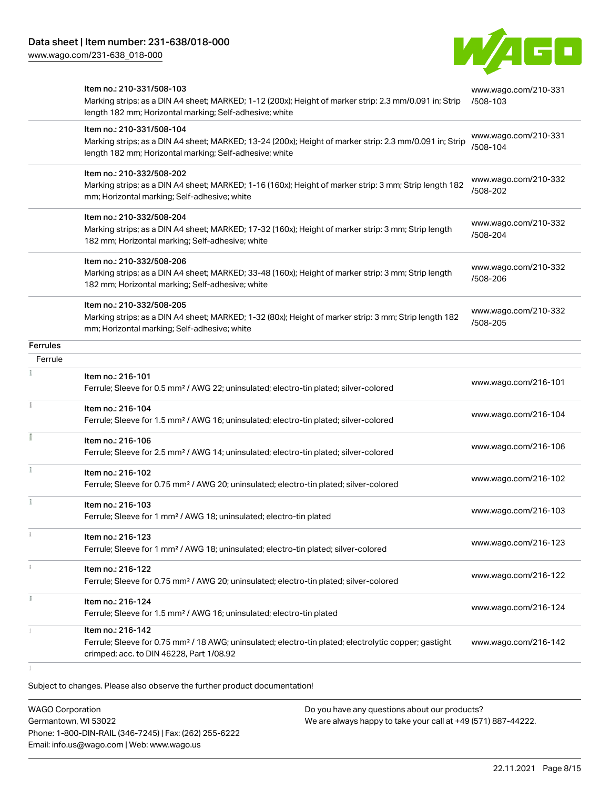[www.wago.com/231-638\\_018-000](http://www.wago.com/231-638_018-000)



|                 | Item no.: 210-331/508-103<br>Marking strips; as a DIN A4 sheet; MARKED; 1-12 (200x); Height of marker strip: 2.3 mm/0.091 in; Strip<br>length 182 mm; Horizontal marking; Self-adhesive; white  | www.wago.com/210-331<br>/508-103 |
|-----------------|-------------------------------------------------------------------------------------------------------------------------------------------------------------------------------------------------|----------------------------------|
|                 | Item no.: 210-331/508-104<br>Marking strips; as a DIN A4 sheet; MARKED; 13-24 (200x); Height of marker strip: 2.3 mm/0.091 in; Strip<br>length 182 mm; Horizontal marking; Self-adhesive; white | www.wago.com/210-331<br>/508-104 |
|                 | Item no.: 210-332/508-202<br>Marking strips; as a DIN A4 sheet; MARKED; 1-16 (160x); Height of marker strip: 3 mm; Strip length 182<br>mm; Horizontal marking; Self-adhesive; white             | www.wago.com/210-332<br>/508-202 |
|                 | Item no.: 210-332/508-204<br>Marking strips; as a DIN A4 sheet; MARKED; 17-32 (160x); Height of marker strip: 3 mm; Strip length<br>182 mm; Horizontal marking; Self-adhesive; white            | www.wago.com/210-332<br>/508-204 |
|                 | Item no.: 210-332/508-206<br>Marking strips; as a DIN A4 sheet; MARKED; 33-48 (160x); Height of marker strip: 3 mm; Strip length<br>182 mm; Horizontal marking; Self-adhesive; white            | www.wago.com/210-332<br>/508-206 |
|                 | Item no.: 210-332/508-205<br>Marking strips; as a DIN A4 sheet; MARKED; 1-32 (80x); Height of marker strip: 3 mm; Strip length 182<br>mm; Horizontal marking; Self-adhesive; white              | www.wago.com/210-332<br>/508-205 |
| <b>Ferrules</b> |                                                                                                                                                                                                 |                                  |
| Ferrule         |                                                                                                                                                                                                 |                                  |
|                 | Item no.: 216-101<br>Ferrule; Sleeve for 0.5 mm <sup>2</sup> / AWG 22; uninsulated; electro-tin plated; silver-colored                                                                          | www.wago.com/216-101             |
|                 | Item no.: 216-104<br>Ferrule; Sleeve for 1.5 mm <sup>2</sup> / AWG 16; uninsulated; electro-tin plated; silver-colored                                                                          | www.wago.com/216-104             |
|                 | Item no.: 216-106<br>Ferrule; Sleeve for 2.5 mm <sup>2</sup> / AWG 14; uninsulated; electro-tin plated; silver-colored                                                                          | www.wago.com/216-106             |
| Ŧ.              | Item no.: 216-102<br>Ferrule; Sleeve for 0.75 mm <sup>2</sup> / AWG 20; uninsulated; electro-tin plated; silver-colored                                                                         | www.wago.com/216-102             |
|                 | Item no.: 216-103<br>Ferrule; Sleeve for 1 mm <sup>2</sup> / AWG 18; uninsulated; electro-tin plated                                                                                            | www.wago.com/216-103             |
|                 | Item no.: 216-123<br>Ferrule; Sleeve for 1 mm <sup>2</sup> / AWG 18; uninsulated; electro-tin plated; silver-colored                                                                            | www.wago.com/216-123             |
|                 | Item no.: 216-122<br>Ferrule; Sleeve for 0.75 mm <sup>2</sup> / AWG 20; uninsulated; electro-tin plated; silver-colored                                                                         | www.wago.com/216-122             |
|                 | Item no.: 216-124<br>Ferrule; Sleeve for 1.5 mm <sup>2</sup> / AWG 16; uninsulated; electro-tin plated                                                                                          | www.wago.com/216-124             |
|                 | Item no.: 216-142<br>Ferrule; Sleeve for 0.75 mm <sup>2</sup> / 18 AWG; uninsulated; electro-tin plated; electrolytic copper; gastight<br>crimped; acc. to DIN 46228, Part 1/08.92              | www.wago.com/216-142             |

Subject to changes. Please also observe the further product documentation!

WAGO Corporation Germantown, WI 53022 Phone: 1-800-DIN-RAIL (346-7245) | Fax: (262) 255-6222 Email: info.us@wago.com | Web: www.wago.us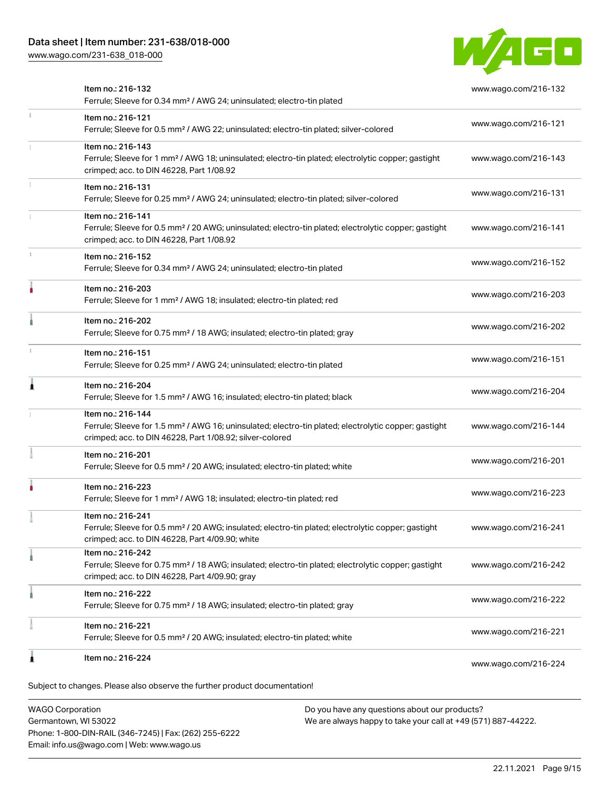# Data sheet | Item number: 231-638/018-000

[www.wago.com/231-638\\_018-000](http://www.wago.com/231-638_018-000)



|    | Item no.: 216-132<br>Ferrule; Sleeve for 0.34 mm <sup>2</sup> / AWG 24; uninsulated; electro-tin plated                                                                                           | www.wago.com/216-132 |
|----|---------------------------------------------------------------------------------------------------------------------------------------------------------------------------------------------------|----------------------|
| ī. | Item no.: 216-121<br>Ferrule; Sleeve for 0.5 mm <sup>2</sup> / AWG 22; uninsulated; electro-tin plated; silver-colored                                                                            | www.wago.com/216-121 |
|    | Item no.: 216-143<br>Ferrule; Sleeve for 1 mm <sup>2</sup> / AWG 18; uninsulated; electro-tin plated; electrolytic copper; gastight<br>crimped; acc. to DIN 46228, Part 1/08.92                   | www.wago.com/216-143 |
|    | Item no.: 216-131<br>Ferrule; Sleeve for 0.25 mm <sup>2</sup> / AWG 24; uninsulated; electro-tin plated; silver-colored                                                                           | www.wago.com/216-131 |
|    | Item no.: 216-141<br>Ferrule; Sleeve for 0.5 mm <sup>2</sup> / 20 AWG; uninsulated; electro-tin plated; electrolytic copper; gastight<br>crimped; acc. to DIN 46228, Part 1/08.92                 | www.wago.com/216-141 |
|    | Item no.: 216-152<br>Ferrule; Sleeve for 0.34 mm <sup>2</sup> / AWG 24; uninsulated; electro-tin plated                                                                                           | www.wago.com/216-152 |
|    | Item no.: 216-203<br>Ferrule; Sleeve for 1 mm <sup>2</sup> / AWG 18; insulated; electro-tin plated; red                                                                                           | www.wago.com/216-203 |
|    | Item no.: 216-202<br>Ferrule; Sleeve for 0.75 mm <sup>2</sup> / 18 AWG; insulated; electro-tin plated; gray                                                                                       | www.wago.com/216-202 |
|    | Item no.: 216-151<br>Ferrule; Sleeve for 0.25 mm <sup>2</sup> / AWG 24; uninsulated; electro-tin plated                                                                                           | www.wago.com/216-151 |
| ۸  | Item no.: 216-204<br>Ferrule; Sleeve for 1.5 mm <sup>2</sup> / AWG 16; insulated; electro-tin plated; black                                                                                       | www.wago.com/216-204 |
|    | Item no.: 216-144<br>Ferrule; Sleeve for 1.5 mm <sup>2</sup> / AWG 16; uninsulated; electro-tin plated; electrolytic copper; gastight<br>crimped; acc. to DIN 46228, Part 1/08.92; silver-colored | www.wago.com/216-144 |
|    | Item no.: 216-201<br>Ferrule; Sleeve for 0.5 mm <sup>2</sup> / 20 AWG; insulated; electro-tin plated; white                                                                                       | www.wago.com/216-201 |
|    | Item no.: 216-223<br>Ferrule; Sleeve for 1 mm <sup>2</sup> / AWG 18; insulated; electro-tin plated; red                                                                                           | www.wago.com/216-223 |
|    | Item no.: 216-241<br>Ferrule; Sleeve for 0.5 mm <sup>2</sup> / 20 AWG; insulated; electro-tin plated; electrolytic copper; gastight<br>crimped; acc. to DIN 46228, Part 4/09.90; white            | www.wago.com/216-241 |
|    | Item no.: 216-242<br>Ferrule; Sleeve for 0.75 mm <sup>2</sup> / 18 AWG; insulated; electro-tin plated; electrolytic copper; gastight<br>crimped; acc. to DIN 46228, Part 4/09.90; gray            | www.wago.com/216-242 |
|    | Item no.: 216-222<br>Ferrule; Sleeve for 0.75 mm <sup>2</sup> / 18 AWG; insulated; electro-tin plated; gray                                                                                       | www.wago.com/216-222 |
|    | Item no.: 216-221<br>Ferrule; Sleeve for 0.5 mm <sup>2</sup> / 20 AWG; insulated; electro-tin plated; white                                                                                       | www.wago.com/216-221 |
|    | Item no.: 216-224                                                                                                                                                                                 | www.wago.com/216-224 |
|    | Subject to changes. Please also observe the further product documentation!                                                                                                                        |                      |

WAGO Corporation Germantown, WI 53022 Phone: 1-800-DIN-RAIL (346-7245) | Fax: (262) 255-6222 Email: info.us@wago.com | Web: www.wago.us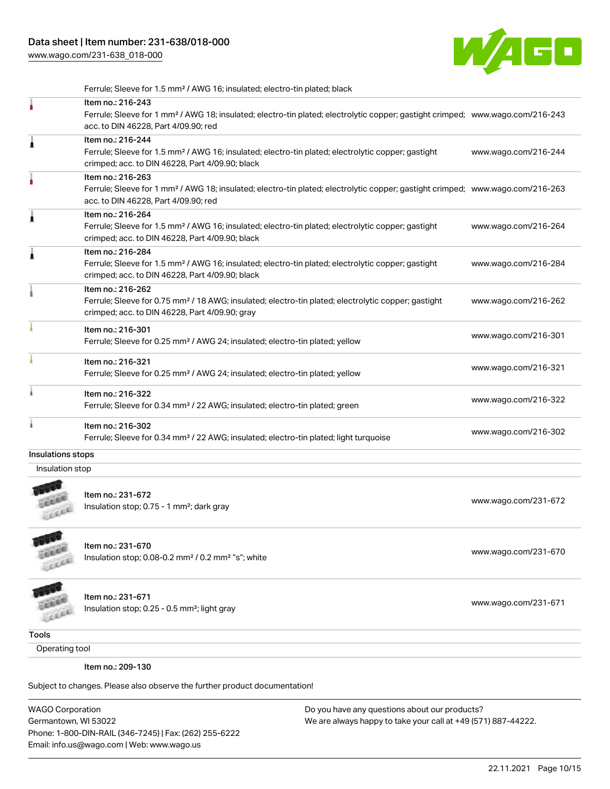[www.wago.com/231-638\\_018-000](http://www.wago.com/231-638_018-000)



Ferrule; Sleeve for 1.5 mm² / AWG 16; insulated; electro-tin plated; black Item no.: 216-243 Ferrule; Sleeve for 1 mm² / AWG 18; insulated; electro-tin plated; electrolytic copper; gastight crimped; [www.wago.com/216-243](http://www.wago.com/216-243) acc. to DIN 46228, Part 4/09.90; red Item no.: 216-244 Ferrule; Sleeve for 1.5 mm² / AWG 16; insulated; electro-tin plated; electrolytic copper; gastight crimped; acc. to DIN 46228, Part 4/09.90; black [www.wago.com/216-244](http://www.wago.com/216-244) Item no.: 216-263 Ferrule; Sleeve for 1 mm² / AWG 18; insulated; electro-tin plated; electrolytic copper; gastight crimped; [www.wago.com/216-263](http://www.wago.com/216-263) acc. to DIN 46228, Part 4/09.90; red Item no.: 216-264 Ferrule; Sleeve for 1.5 mm² / AWG 16; insulated; electro-tin plated; electrolytic copper; gastight crimped; acc. to DIN 46228, Part 4/09.90; black [www.wago.com/216-264](http://www.wago.com/216-264) Item no.: 216-284 Ferrule; Sleeve for 1.5 mm² / AWG 16; insulated; electro-tin plated; electrolytic copper; gastight crimped; acc. to DIN 46228, Part 4/09.90; black [www.wago.com/216-284](http://www.wago.com/216-284) Item no.: 216-262 Ferrule; Sleeve for 0.75 mm² / 18 AWG; insulated; electro-tin plated; electrolytic copper; gastight crimped; acc. to DIN 46228, Part 4/09.90; gray [www.wago.com/216-262](http://www.wago.com/216-262) Item no.: 216-301 Ferrule; Sleeve for 0.25 mm² / AWG 24; insulated; electro-tin plated; yellow [www.wago.com/216-301](http://www.wago.com/216-301) Item no.: 216-321 Ferrule; Sleeve for 0.25 mm² / AWG 24; insulated; electro-tin plated; yellow [www.wago.com/216-321](http://www.wago.com/216-321) Item no.: 216-322 Ferrule; Sleeve for 0.34 mm² / 22 AWG; insulated; electro-tin plated; green [www.wago.com/216-322](http://www.wago.com/216-322) Item no.: 216-302 Ferrule; Sleeve for 0.34 mm² / 22 AWG; insulated; electro-tin plated; light turquoise [www.wago.com/216-302](http://www.wago.com/216-302) Insulations stops Insulation stop



Item no.: 231-672 Insulation stop; 0.75 - 1 mm<sup>2</sup>; dark gray [www.wago.com/231-672](http://www.wago.com/231-672) msulation stop; 0.75 - 1 mm<sup>2</sup>; dark gray



**COLLER** LEEEE

Item no.: 231-670 Insulation stop; 0.08-0.2 mm<sup>2</sup>/0.2 mm<sup>2</sup> "s"; white [www.wago.com/231-670](http://www.wago.com/231-670) www.wago.com/231-670

Item no.: 231-671 Insulation stop; 0.25 - 0.5 mm<sup>2</sup>; light gray [www.wago.com/231-671](http://www.wago.com/231-671) www.wago.com/231-671

**Tools** 

Operating tool

Item no.: 209-130

Subject to changes. Please also observe the further product documentation!

WAGO Corporation Germantown, WI 53022 Phone: 1-800-DIN-RAIL (346-7245) | Fax: (262) 255-6222 Email: info.us@wago.com | Web: www.wago.us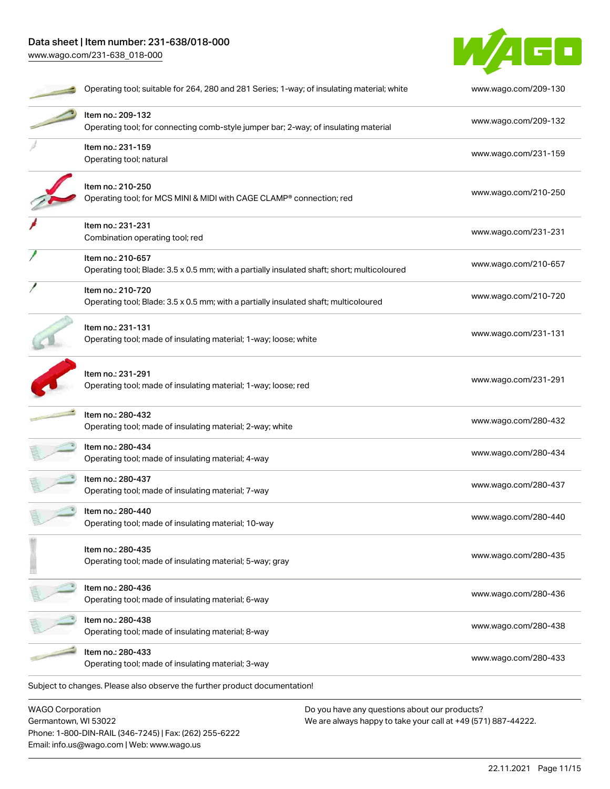# Data sheet | Item number: 231-638/018-000 [www.wago.com/231-638\\_018-000](http://www.wago.com/231-638_018-000)

Email: info.us@wago.com | Web: www.wago.us



|                                                 | Operating tool; suitable for 264, 280 and 281 Series; 1-way; of insulating material; white                       |                                                                                                                | www.wago.com/209-130 |
|-------------------------------------------------|------------------------------------------------------------------------------------------------------------------|----------------------------------------------------------------------------------------------------------------|----------------------|
|                                                 | Item no.: 209-132<br>Operating tool; for connecting comb-style jumper bar; 2-way; of insulating material         |                                                                                                                | www.wago.com/209-132 |
|                                                 | Item no.: 231-159<br>Operating tool; natural                                                                     |                                                                                                                | www.wago.com/231-159 |
|                                                 | Item no.: 210-250<br>Operating tool; for MCS MINI & MIDI with CAGE CLAMP® connection; red                        |                                                                                                                | www.wago.com/210-250 |
|                                                 | Item no.: 231-231<br>Combination operating tool; red                                                             |                                                                                                                | www.wago.com/231-231 |
|                                                 | Item no.: 210-657<br>Operating tool; Blade: 3.5 x 0.5 mm; with a partially insulated shaft; short; multicoloured |                                                                                                                | www.wago.com/210-657 |
|                                                 | Item no.: 210-720<br>Operating tool; Blade: 3.5 x 0.5 mm; with a partially insulated shaft; multicoloured        |                                                                                                                | www.wago.com/210-720 |
|                                                 | Item no.: 231-131<br>Operating tool; made of insulating material; 1-way; loose; white                            |                                                                                                                | www.wago.com/231-131 |
|                                                 | Item no.: 231-291<br>Operating tool; made of insulating material; 1-way; loose; red                              |                                                                                                                | www.wago.com/231-291 |
|                                                 | Item no.: 280-432<br>Operating tool; made of insulating material; 2-way; white                                   |                                                                                                                | www.wago.com/280-432 |
|                                                 | Item no.: 280-434<br>Operating tool; made of insulating material; 4-way                                          |                                                                                                                | www.wago.com/280-434 |
|                                                 | Item no.: 280-437<br>Operating tool; made of insulating material; 7-way                                          |                                                                                                                | www.wago.com/280-437 |
|                                                 | Item no.: 280-440<br>Operating tool; made of insulating material; 10-way                                         |                                                                                                                | www.wago.com/280-440 |
|                                                 | Item no.: 280-435<br>Operating tool; made of insulating material; 5-way; gray                                    |                                                                                                                | www.wago.com/280-435 |
|                                                 | Item no.: 280-436<br>Operating tool; made of insulating material; 6-way                                          |                                                                                                                | www.wago.com/280-436 |
|                                                 | Item no.: 280-438<br>Operating tool; made of insulating material; 8-way                                          |                                                                                                                | www.wago.com/280-438 |
|                                                 | Item no.: 280-433<br>Operating tool; made of insulating material; 3-way                                          |                                                                                                                | www.wago.com/280-433 |
|                                                 | Subject to changes. Please also observe the further product documentation!                                       |                                                                                                                |                      |
| <b>WAGO Corporation</b><br>Germantown, WI 53022 | Phone: 1-800-DIN-RAIL (346-7245)   Fax: (262) 255-6222                                                           | Do you have any questions about our products?<br>We are always happy to take your call at +49 (571) 887-44222. |                      |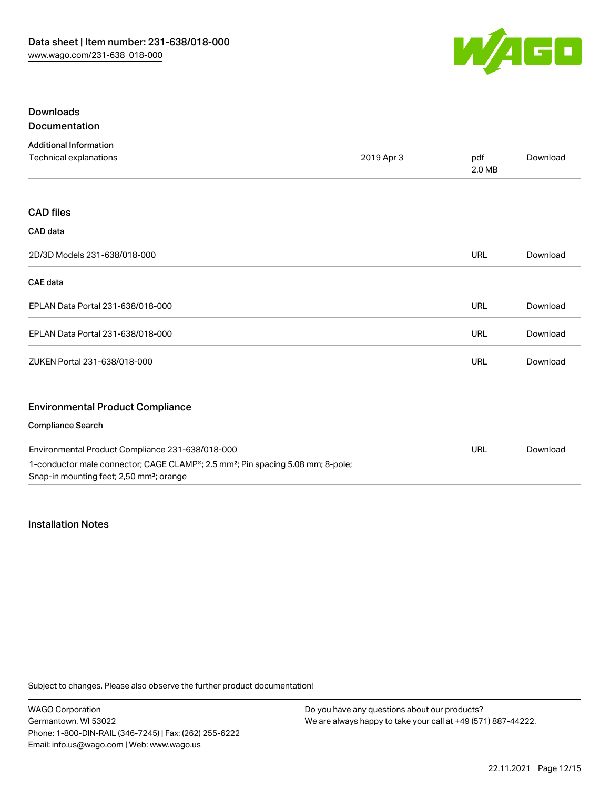

# Downloads Documentation

| <b>Additional Information</b>                    |            |               |          |
|--------------------------------------------------|------------|---------------|----------|
| Technical explanations                           | 2019 Apr 3 | pdf<br>2.0 MB | Download |
|                                                  |            |               |          |
| <b>CAD files</b>                                 |            |               |          |
| CAD data                                         |            |               |          |
| 2D/3D Models 231-638/018-000                     |            | <b>URL</b>    | Download |
| <b>CAE</b> data                                  |            |               |          |
| EPLAN Data Portal 231-638/018-000                |            | <b>URL</b>    | Download |
| EPLAN Data Portal 231-638/018-000                |            | <b>URL</b>    | Download |
| ZUKEN Portal 231-638/018-000                     |            | <b>URL</b>    | Download |
| <b>Environmental Product Compliance</b>          |            |               |          |
| <b>Compliance Search</b>                         |            |               |          |
| Environmental Product Compliance 231-638/018-000 |            | LIRI          | Download |

Environmental Product Compliance 231-638/018-000 1-conductor male connector; CAGE CLAMP®; 2.5 mm²; Pin spacing 5.08 mm; 8-pole; Snap-in mounting feet; 2,50 mm²; orange URL [Download](https://www.wago.com/global/d/ComplianceLinkMediaContainer_231-638_018-000)

# Installation Notes

Subject to changes. Please also observe the further product documentation!

WAGO Corporation Germantown, WI 53022 Phone: 1-800-DIN-RAIL (346-7245) | Fax: (262) 255-6222 Email: info.us@wago.com | Web: www.wago.us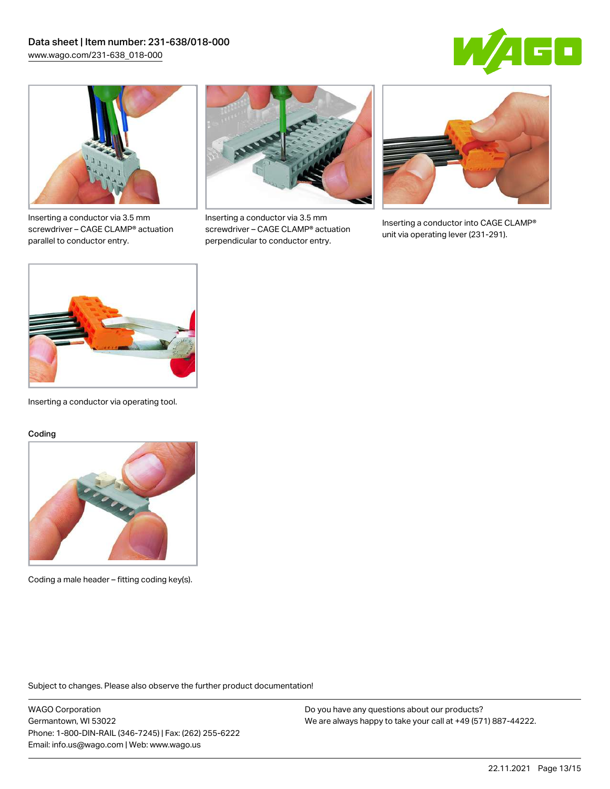



Inserting a conductor via 3.5 mm screwdriver – CAGE CLAMP® actuation parallel to conductor entry.



Inserting a conductor via 3.5 mm screwdriver – CAGE CLAMP® actuation perpendicular to conductor entry.



Inserting a conductor into CAGE CLAMP® unit via operating lever (231-291).



Inserting a conductor via operating tool.

#### Coding



Coding a male header – fitting coding key(s).

Subject to changes. Please also observe the further product documentation!

WAGO Corporation Germantown, WI 53022 Phone: 1-800-DIN-RAIL (346-7245) | Fax: (262) 255-6222 Email: info.us@wago.com | Web: www.wago.us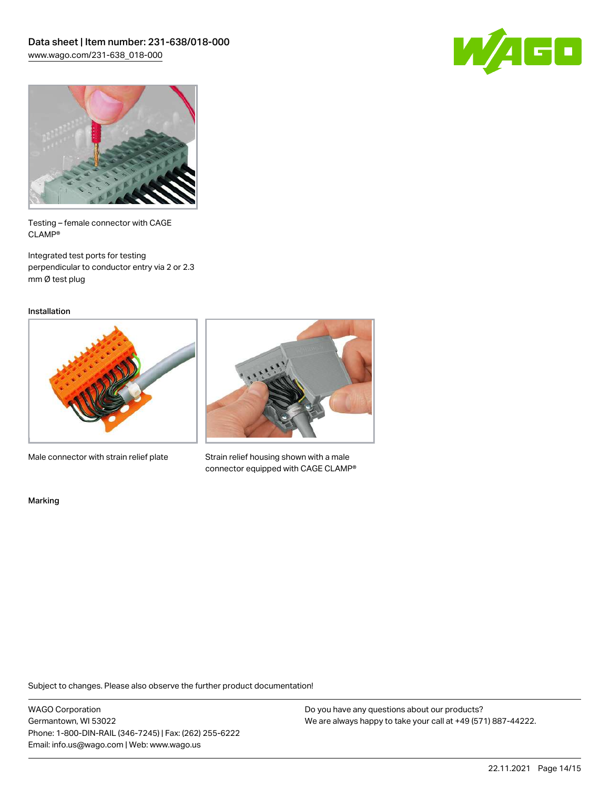



Testing – female connector with CAGE CLAMP®

Integrated test ports for testing perpendicular to conductor entry via 2 or 2.3 mm Ø test plug

Installation



Male connector with strain relief plate



Strain relief housing shown with a male connector equipped with CAGE CLAMP®

Marking

Subject to changes. Please also observe the further product documentation!

WAGO Corporation Germantown, WI 53022 Phone: 1-800-DIN-RAIL (346-7245) | Fax: (262) 255-6222 Email: info.us@wago.com | Web: www.wago.us